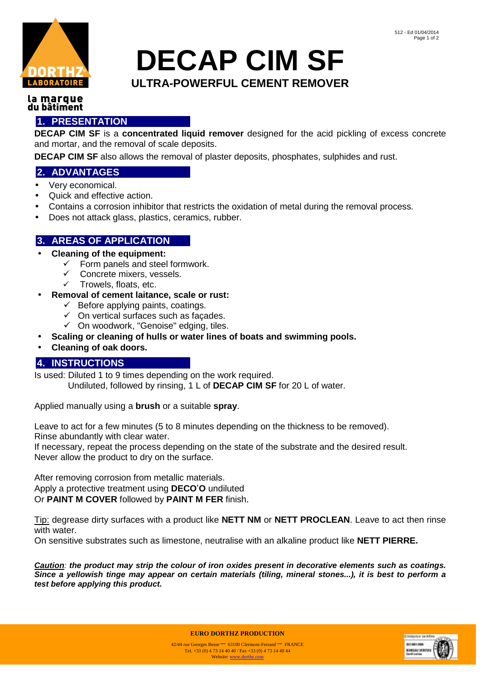

# **DECAP CIM SF ULTRA-POWERFUL CEMENT REMOVER**

#### la marque du bâtiment

## **1. PRESENTATION**

**DECAP CIM SF** is a **concentrated liquid remover** designed for the acid pickling of excess concrete and mortar, and the removal of scale deposits.

**DECAP CIM SF** also allows the removal of plaster deposits, phosphates, sulphides and rust.

## **2. ADVANTAGES**

- Very economical.
- Quick and effective action.
- Contains a corrosion inhibitor that restricts the oxidation of metal during the removal process.
- Does not attack glass, plastics, ceramics, rubber.

## **3. AREAS OF APPLICATION**

- **Cleaning of the equipment:** 
	- $\checkmark$  Form panels and steel formwork.
	- $\checkmark$  Concrete mixers, vessels.
	- $\checkmark$  Trowels, floats, etc.
- **Removal of cement laitance, scale or rust:** 
	- $\checkmark$  Before applying paints, coatings.
	- $\checkmark$  On vertical surfaces such as facades.
	- $\checkmark$  On woodwork, "Genoise" edging, tiles.
- **Scaling or cleaning of hulls or water lines of boats and swimming pools.**
- **Cleaning of oak doors.**

#### **4. INSTRUCTIONS**

Is used: Diluted 1 to 9 times depending on the work required. Undiluted, followed by rinsing, 1 L of **DECAP CIM SF** for 20 L of water.

Applied manually using a **brush** or a suitable **spray**.

Leave to act for a few minutes (5 to 8 minutes depending on the thickness to be removed). Rinse abundantly with clear water.

If necessary, repeat the process depending on the state of the substrate and the desired result. Never allow the product to dry on the surface.

After removing corrosion from metallic materials. Apply a protective treatment using **DECO**'**O** undiluted Or **PAINT M COVER** followed by **PAINT M FER** finish.

Tip: degrease dirty surfaces with a product like **NETT NM** or **NETT PROCLEAN**. Leave to act then rinse with water.

On sensitive substrates such as limestone, neutralise with an alkaline product like **NETT PIERRE.** 

**Caution**: **the product may strip the colour of iron oxides present in decorative elements such as coatings. Since a yellowish tinge may appear on certain materials (tiling, mineral stones...), it is best to perform a test before applying this product.** 



**EURO DORTHZ PRODUCTION**